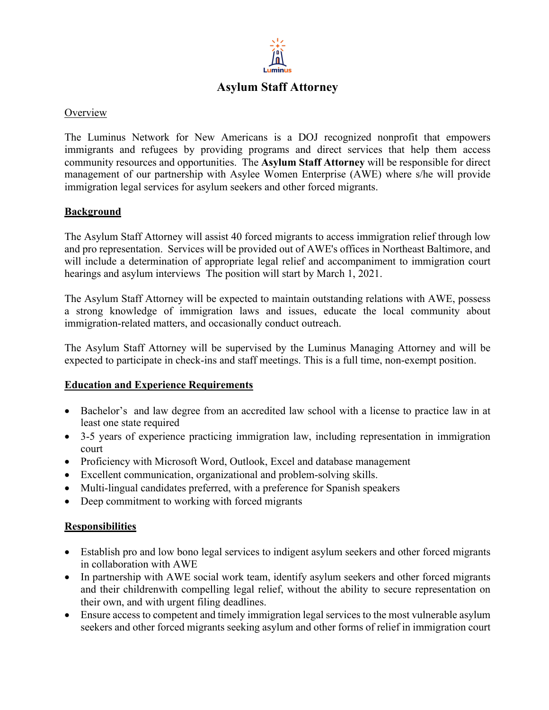

# **Asylum Staff Attorney**

#### **Overview**

The Luminus Network for New Americans is a DOJ recognized nonprofit that empowers immigrants and refugees by providing programs and direct services that help them access community resources and opportunities. The **Asylum Staff Attorney** will be responsible for direct management of our partnership with Asylee Women Enterprise (AWE) where s/he will provide immigration legal services for asylum seekers and other forced migrants.

### **Background**

The Asylum Staff Attorney will assist 40 forced migrants to access immigration relief through low and pro representation. Services will be provided out of AWE's offices in Northeast Baltimore, and will include a determination of appropriate legal relief and accompaniment to immigration court hearings and asylum interviews The position will start by March 1, 2021.

The Asylum Staff Attorney will be expected to maintain outstanding relations with AWE, possess a strong knowledge of immigration laws and issues, educate the local community about immigration-related matters, and occasionally conduct outreach.

The Asylum Staff Attorney will be supervised by the Luminus Managing Attorney and will be expected to participate in check-ins and staff meetings. This is a full time, non-exempt position.

#### **Education and Experience Requirements**

- Bachelor's and law degree from an accredited law school with a license to practice law in at least one state required
- 3-5 years of experience practicing immigration law, including representation in immigration court
- Proficiency with Microsoft Word, Outlook, Excel and database management
- Excellent communication, organizational and problem-solving skills.
- Multi-lingual candidates preferred, with a preference for Spanish speakers
- Deep commitment to working with forced migrants

#### **Responsibilities**

- Establish pro and low bono legal services to indigent asylum seekers and other forced migrants in collaboration with AWE
- In partnership with AWE social work team, identify asylum seekers and other forced migrants and their childrenwith compelling legal relief, without the ability to secure representation on their own, and with urgent filing deadlines.
- Ensure access to competent and timely immigration legal services to the most vulnerable asylum seekers and other forced migrants seeking asylum and other forms of relief in immigration court